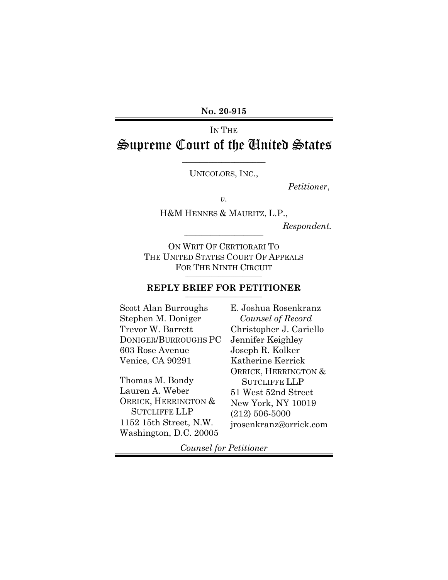**No. 20-915** 

# IN THE Supreme Court of the United States

UNICOLORS, INC.,

\_\_\_\_\_\_\_\_\_\_\_\_\_\_\_\_\_\_\_

*Petitioner*,

*v.*

H&M HENNES & MAURITZ, L.P.,

\_\_\_\_\_\_\_\_\_\_\_\_\_\_\_\_\_\_\_\_\_\_\_\_\_\_\_\_\_\_\_\_\_\_\_\_

*Respondent.*

ON WRIT OF CERTIORARI TO THE UNITED STATES COURT OF APPEALS FOR THE NINTH CIRCUIT

#### \_\_\_\_\_\_\_\_\_\_\_\_\_\_\_\_\_\_\_\_\_\_\_\_\_\_\_\_\_\_\_\_\_\_\_ **REPLY BRIEF FOR PETITIONER** \_\_\_\_\_\_\_\_\_\_\_\_\_\_\_\_\_\_\_\_\_\_\_\_\_\_\_\_\_\_\_\_\_\_\_

Scott Alan Burroughs Stephen M. Doniger Trevor W. Barrett DONIGER/BURROUGHS PC 603 Rose Avenue Venice, CA 90291

Thomas M. Bondy Lauren A. Weber ORRICK, HERRINGTON & SUTCLIFFE LLP 1152 15th Street, N.W. Washington, D.C. 20005 E. Joshua Rosenkranz *Counsel of Record* Christopher J. Cariello Jennifer Keighley Joseph R. Kolker Katherine Kerrick ORRICK, HERRINGTON & SUTCLIFFE LLP 51 West 52nd Street New York, NY 10019 (212) 506-5000 jrosenkranz@orrick.com

*Counsel for Petitioner*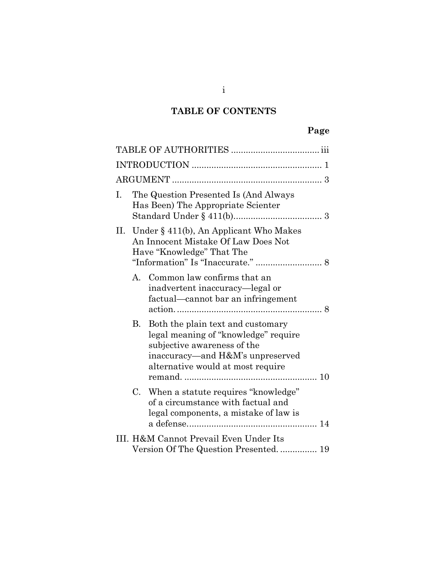## **TABLE OF CONTENTS**

| I.                                                                               |                                                                                                                   | The Question Presented Is (And Always<br>Has Been) The Appropriate Scienter                                                                                                       |  |  |  |
|----------------------------------------------------------------------------------|-------------------------------------------------------------------------------------------------------------------|-----------------------------------------------------------------------------------------------------------------------------------------------------------------------------------|--|--|--|
|                                                                                  | II. Under $\S$ 411(b), An Applicant Who Makes<br>An Innocent Mistake Of Law Does Not<br>Have "Knowledge" That The |                                                                                                                                                                                   |  |  |  |
|                                                                                  |                                                                                                                   | A. Common law confirms that an<br>inadvertent inaccuracy—legal or<br>factual—cannot bar an infringement                                                                           |  |  |  |
|                                                                                  | В.                                                                                                                | Both the plain text and customary<br>legal meaning of "knowledge" require<br>subjective awareness of the<br>inaccuracy-and H&M's unpreserved<br>alternative would at most require |  |  |  |
|                                                                                  | $\rm C.$                                                                                                          | When a statute requires "knowledge"<br>of a circumstance with factual and<br>legal components, a mistake of law is                                                                |  |  |  |
| III. H&M Cannot Prevail Even Under Its<br>Version Of The Question Presented.  19 |                                                                                                                   |                                                                                                                                                                                   |  |  |  |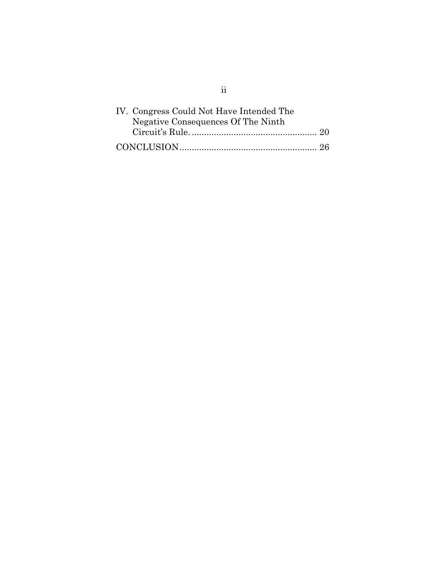| IV. Congress Could Not Have Intended The |
|------------------------------------------|
| Negative Consequences Of The Ninth       |
|                                          |
|                                          |

ii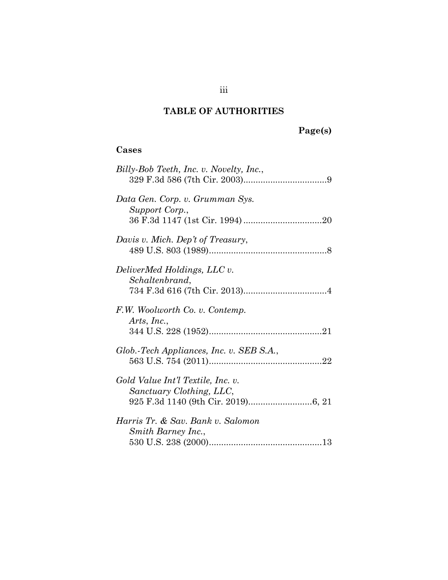## **TABLE OF AUTHORITIES**

# **Page(s)**

## <span id="page-3-0"></span>**Cases**

| Billy-Bob Teeth, Inc. v. Novelty, Inc.,                       |
|---------------------------------------------------------------|
| Data Gen. Corp. v. Grumman Sys.<br>Support Corp.,             |
| Davis v. Mich. Dep't of Treasury,                             |
| DeliverMed Holdings, LLC v.<br>Schaltenbrand,                 |
| F.W. Woolworth Co. v. Contemp.<br>Arts, Inc.,                 |
| Glob.-Tech Appliances, Inc. v. SEB S.A.,                      |
| Gold Value Int'l Textile, Inc. v.<br>Sanctuary Clothing, LLC, |
| Harris Tr. & Sav. Bank v. Salomon<br>Smith Barney Inc.,       |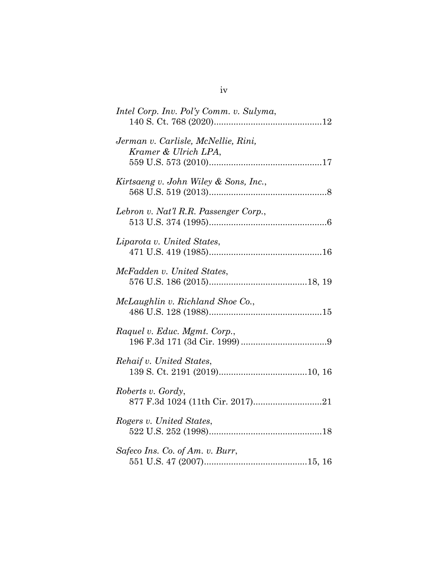| Intel Corp. Inv. Pol'y Comm. v. Sulyma,                     |
|-------------------------------------------------------------|
| Jerman v. Carlisle, McNellie, Rini,<br>Kramer & Ulrich LPA, |
| Kirtsaeng v. John Wiley & Sons, Inc.,                       |
| Lebron v. Nat'l R.R. Passenger Corp.,                       |
| Liparota v. United States,                                  |
| McFadden v. United States,                                  |
| McLaughlin v. Richland Shoe Co.,                            |
| Raquel v. Educ. Mgmt. Corp.,                                |
| Rehaif v. United States,                                    |
| Roberts v. Gordy,                                           |
| Rogers v. United States,                                    |
| Safeco Ins. Co. of Am. v. Burr,                             |

| ۰. |  |
|----|--|
| ۰. |  |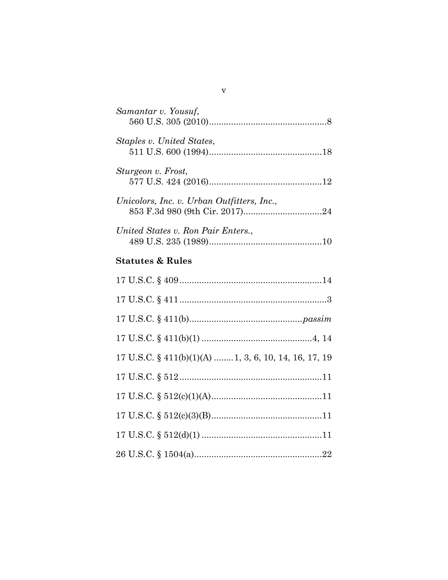| Samantar v. Yousuf,                                   |
|-------------------------------------------------------|
| Staples v. United States,                             |
| Sturgeon v. Frost,                                    |
| Unicolors, Inc. v. Urban Outfitters, Inc.,            |
| United States v. Ron Pair Enters.,                    |
| <b>Statutes &amp; Rules</b>                           |
|                                                       |
|                                                       |
|                                                       |
|                                                       |
| 17 U.S.C. § 411(b)(1)(A)  1, 3, 6, 10, 14, 16, 17, 19 |
|                                                       |
|                                                       |
|                                                       |
|                                                       |
|                                                       |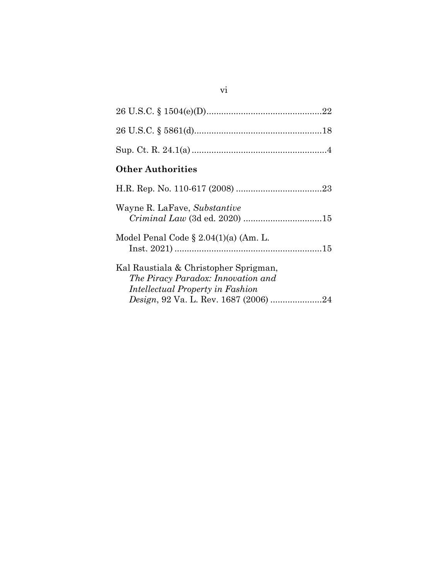| <b>Other Authorities</b>                                                                                                                                 |
|----------------------------------------------------------------------------------------------------------------------------------------------------------|
|                                                                                                                                                          |
| Wayne R. LaFave, Substantive                                                                                                                             |
| Model Penal Code $\S 2.04(1)(a)$ (Am. L.                                                                                                                 |
| Kal Raustiala & Christopher Sprigman,<br>The Piracy Paradox: Innovation and<br>Intellectual Property in Fashion<br>Design, 92 Va. L. Rev. 1687 (2006) 24 |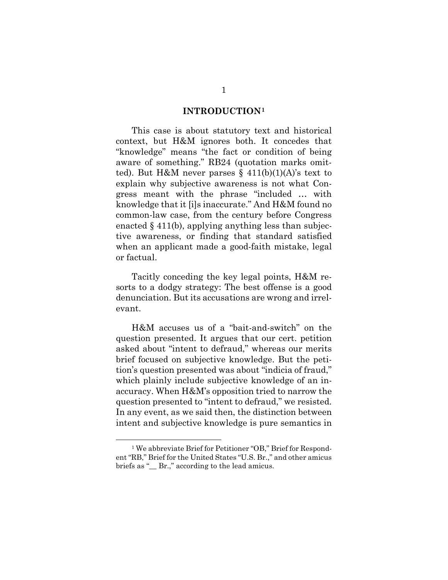#### **INTRODUCTION[1](#page-7-1)**

<span id="page-7-0"></span>This case is about statutory text and historical context, but H&M ignores both. It concedes that "knowledge" means "the fact or condition of being aware of something." RB24 (quotation marks omitted). But H&M never parses  $\S$  411(b)(1)(A)'s text to explain why subjective awareness is not what Congress meant with the phrase "included … with knowledge that it [i]s inaccurate." And H&M found no common-law case, from the century before Congress enacted § 411(b), applying anything less than subjective awareness, or finding that standard satisfied when an applicant made a good-faith mistake, legal or factual.

Tacitly conceding the key legal points, H&M resorts to a dodgy strategy: The best offense is a good denunciation. But its accusations are wrong and irrelevant.

H&M accuses us of a "bait-and-switch" on the question presented. It argues that our cert. petition asked about "intent to defraud," whereas our merits brief focused on subjective knowledge. But the petition's question presented was about "indicia of fraud," which plainly include subjective knowledge of an inaccuracy. When H&M's opposition tried to narrow the question presented to "intent to defraud," we resisted. In any event, as we said then, the distinction between intent and subjective knowledge is pure semantics in

<span id="page-7-1"></span><sup>&</sup>lt;sup>1</sup> We abbreviate Brief for Petitioner "OB," Brief for Respondent "RB," Brief for the United States "U.S. Br.," and other amicus briefs as "\_\_ Br.," according to the lead amicus.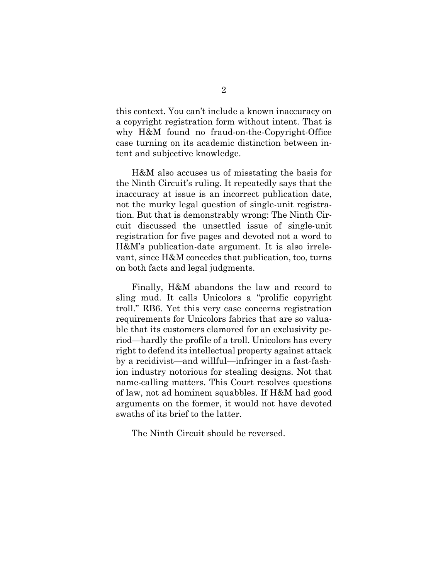this context. You can't include a known inaccuracy on a copyright registration form without intent. That is why H&M found no fraud-on-the-Copyright-Office case turning on its academic distinction between intent and subjective knowledge.

H&M also accuses us of misstating the basis for the Ninth Circuit's ruling. It repeatedly says that the inaccuracy at issue is an incorrect publication date, not the murky legal question of single-unit registration. But that is demonstrably wrong: The Ninth Circuit discussed the unsettled issue of single-unit registration for five pages and devoted not a word to H&M's publication-date argument. It is also irrelevant, since H&M concedes that publication, too, turns on both facts and legal judgments.

Finally, H&M abandons the law and record to sling mud. It calls Unicolors a "prolific copyright troll." RB6. Yet this very case concerns registration requirements for Unicolors fabrics that are so valuable that its customers clamored for an exclusivity period—hardly the profile of a troll. Unicolors has every right to defend its intellectual property against attack by a recidivist—and willful—infringer in a fast-fashion industry notorious for stealing designs. Not that name-calling matters. This Court resolves questions of law, not ad hominem squabbles. If H&M had good arguments on the former, it would not have devoted swaths of its brief to the latter.

The Ninth Circuit should be reversed.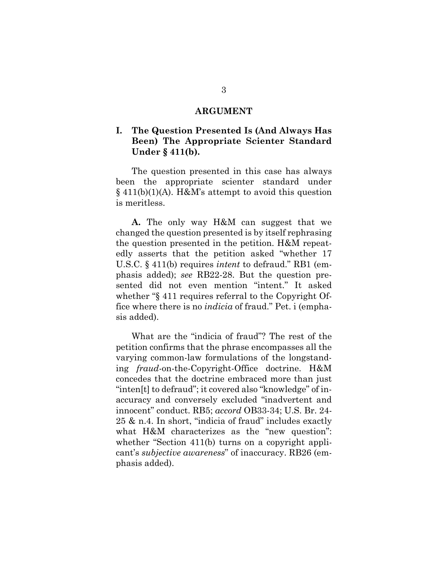#### **ARGUMENT**

#### <span id="page-9-1"></span><span id="page-9-0"></span>**I. The Question Presented Is (And Always Has Been) The Appropriate Scienter Standard Under § 411(b).**

The question presented in this case has always been the appropriate scienter standard under  $§$  411(b)(1)(A). H&M's attempt to avoid this question is meritless.

**A.** The only way H&M can suggest that we changed the question presented is by itself rephrasing the question presented in the petition. H&M repeatedly asserts that the petition asked "whether 17 U.S.C. § 411(b) requires *intent* to defraud." RB1 (emphasis added); *see* RB22-28. But the question presented did not even mention "intent." It asked whether "§ 411 requires referral to the Copyright Office where there is no *indicia* of fraud." Pet. i (emphasis added).

What are the "indicia of fraud"? The rest of the petition confirms that the phrase encompasses all the varying common-law formulations of the longstanding *fraud*-on-the-Copyright-Office doctrine. H&M concedes that the doctrine embraced more than just "inten[t] to defraud"; it covered also "knowledge" of inaccuracy and conversely excluded "inadvertent and innocent" conduct. RB5; *accord* OB33-34; U.S. Br. 24- 25 & n.4. In short, "indicia of fraud" includes exactly what H&M characterizes as the "new question": whether "Section 411(b) turns on a copyright applicant's *subjective awareness*" of inaccuracy. RB26 (emphasis added).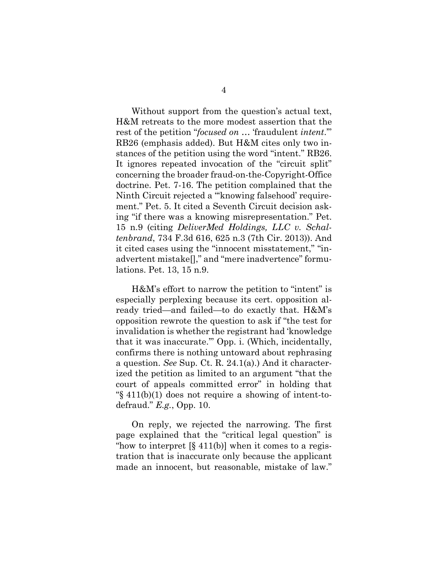Without support from the question's actual text, H&M retreats to the more modest assertion that the rest of the petition "*focused on* … 'fraudulent *intent*.'" RB26 (emphasis added). But H&M cites only two instances of the petition using the word "intent." RB26. It ignores repeated invocation of the "circuit split" concerning the broader fraud-on-the-Copyright-Office doctrine. Pet. 7-16. The petition complained that the Ninth Circuit rejected a "'knowing falsehood' requirement." Pet. 5. It cited a Seventh Circuit decision asking "if there was a knowing misrepresentation." Pet. 15 n.9 (citing *DeliverMed Holdings, LLC v. Schaltenbrand*, 734 F.3d 616, 625 n.3 (7th Cir. 2013)). And it cited cases using the "innocent misstatement," "inadvertent mistake[]," and "mere inadvertence" formulations. Pet. 13, 15 n.9.

H&M's effort to narrow the petition to "intent" is especially perplexing because its cert. opposition already tried—and failed—to do exactly that. H&M's opposition rewrote the question to ask if "the test for invalidation is whether the registrant had 'knowledge that it was inaccurate.'" Opp. i. (Which, incidentally, confirms there is nothing untoward about rephrasing a question. *See* Sup. Ct. R. 24.1(a).) And it characterized the petition as limited to an argument "that the court of appeals committed error" in holding that "§ 411(b)(1) does not require a showing of intent-todefraud." *E.g.*, Opp. 10.

On reply, we rejected the narrowing. The first page explained that the "critical legal question" is "how to interpret  $[\S 411(b)]$  when it comes to a registration that is inaccurate only because the applicant made an innocent, but reasonable, mistake of law."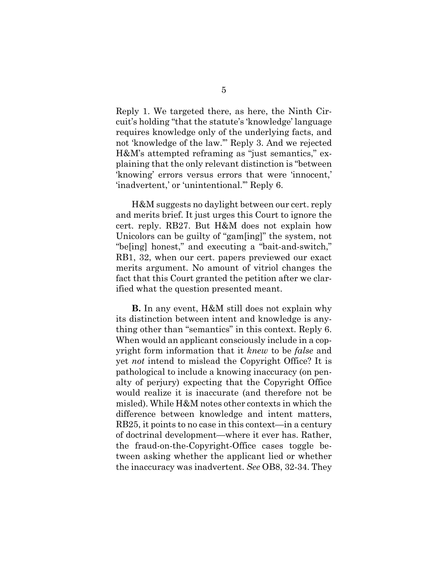Reply 1. We targeted there, as here, the Ninth Circuit's holding "that the statute's 'knowledge' language requires knowledge only of the underlying facts, and not 'knowledge of the law.'" Reply 3. And we rejected H&M's attempted reframing as "just semantics," explaining that the only relevant distinction is "between 'knowing' errors versus errors that were 'innocent,' 'inadvertent,' or 'unintentional.'" Reply 6.

H&M suggests no daylight between our cert. reply and merits brief. It just urges this Court to ignore the cert. reply. RB27. But H&M does not explain how Unicolors can be guilty of "gam[ing]" the system, not "be[ing] honest," and executing a "bait-and-switch," RB1, 32, when our cert. papers previewed our exact merits argument. No amount of vitriol changes the fact that this Court granted the petition after we clarified what the question presented meant.

**B.** In any event, H&M still does not explain why its distinction between intent and knowledge is anything other than "semantics" in this context. Reply 6. When would an applicant consciously include in a copyright form information that it *knew* to be *false* and yet *not* intend to mislead the Copyright Office? It is pathological to include a knowing inaccuracy (on penalty of perjury) expecting that the Copyright Office would realize it is inaccurate (and therefore not be misled). While H&M notes other contexts in which the difference between knowledge and intent matters, RB25, it points to no case in this context—in a century of doctrinal development—where it ever has. Rather, the fraud-on-the-Copyright-Office cases toggle between asking whether the applicant lied or whether the inaccuracy was inadvertent. *See* OB8, 32-34. They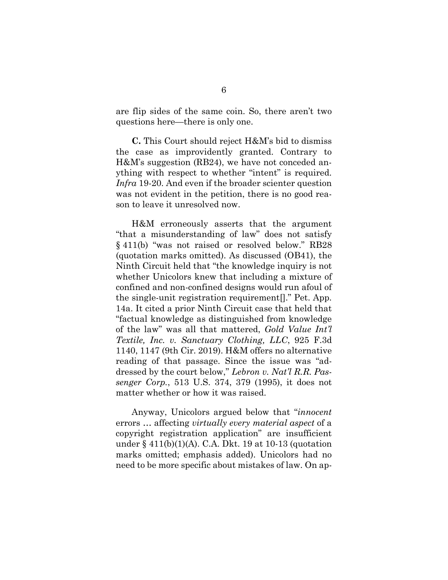are flip sides of the same coin. So, there aren't two questions here—there is only one.

**C.** This Court should reject H&M's bid to dismiss the case as improvidently granted. Contrary to H&M's suggestion (RB24), we have not conceded anything with respect to whether "intent" is required. *Infra* 19-20. And even if the broader scienter question was not evident in the petition, there is no good reason to leave it unresolved now.

H&M erroneously asserts that the argument "that a misunderstanding of law" does not satisfy § 411(b) "was not raised or resolved below." RB28 (quotation marks omitted). As discussed (OB41), the Ninth Circuit held that "the knowledge inquiry is not whether Unicolors knew that including a mixture of confined and non-confined designs would run afoul of the single-unit registration requirement[]." Pet. App. 14a. It cited a prior Ninth Circuit case that held that "factual knowledge as distinguished from knowledge of the law" was all that mattered, *Gold Value Int'l Textile, Inc. v. Sanctuary Clothing, LLC*, 925 F.3d 1140, 1147 (9th Cir. 2019). H&M offers no alternative reading of that passage. Since the issue was "addressed by the court below," *Lebron v. Nat'l R.R. Passenger Corp.*, 513 U.S. 374, 379 (1995), it does not matter whether or how it was raised.

Anyway, Unicolors argued below that "*innocent* errors … affecting *virtually every material aspect* of a copyright registration application" are insufficient under § 411(b)(1)(A). C.A. Dkt. 19 at 10-13 (quotation marks omitted; emphasis added). Unicolors had no need to be more specific about mistakes of law. On ap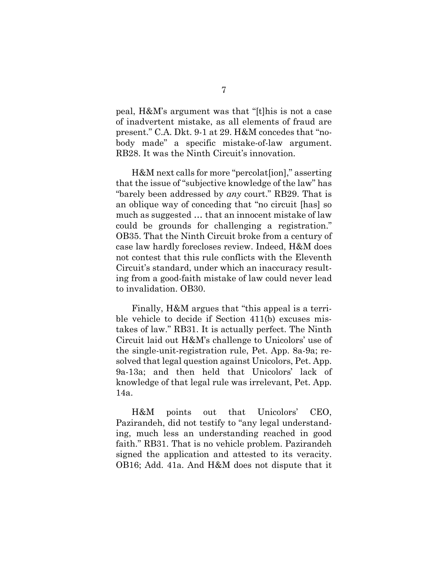peal, H&M's argument was that "[t]his is not a case of inadvertent mistake, as all elements of fraud are present." C.A. Dkt. 9-1 at 29. H&M concedes that "nobody made" a specific mistake-of-law argument. RB28. It was the Ninth Circuit's innovation.

H&M next calls for more "percolat[ion]," asserting that the issue of "subjective knowledge of the law" has "barely been addressed by *any* court." RB29. That is an oblique way of conceding that "no circuit [has] so much as suggested … that an innocent mistake of law could be grounds for challenging a registration." OB35. That the Ninth Circuit broke from a century of case law hardly forecloses review. Indeed, H&M does not contest that this rule conflicts with the Eleventh Circuit's standard, under which an inaccuracy resulting from a good-faith mistake of law could never lead to invalidation. OB30.

Finally, H&M argues that "this appeal is a terrible vehicle to decide if Section 411(b) excuses mistakes of law." RB31. It is actually perfect. The Ninth Circuit laid out H&M's challenge to Unicolors' use of the single-unit-registration rule, Pet. App. 8a-9a; resolved that legal question against Unicolors, Pet. App. 9a-13a; and then held that Unicolors' lack of knowledge of that legal rule was irrelevant, Pet. App. 14a.

H&M points out that Unicolors' CEO, Pazirandeh, did not testify to "any legal understanding, much less an understanding reached in good faith." RB31. That is no vehicle problem. Pazirandeh signed the application and attested to its veracity. OB16; Add. 41a. And H&M does not dispute that it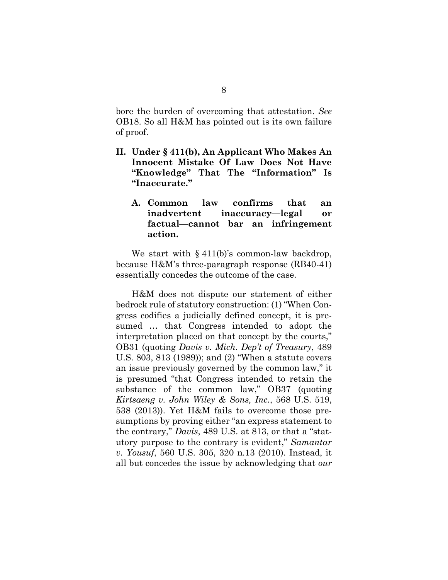bore the burden of overcoming that attestation. *See*  OB18. So all H&M has pointed out is its own failure of proof.

- <span id="page-14-1"></span><span id="page-14-0"></span>**II. Under § 411(b), An Applicant Who Makes An Innocent Mistake Of Law Does Not Have "Knowledge" That The "Information" Is "Inaccurate."**
	- **A. Common law confirms that an inadvertent inaccuracy—legal or factual—cannot bar an infringement action.**

We start with  $§$  411(b)'s common-law backdrop, because H&M's three-paragraph response (RB40-41) essentially concedes the outcome of the case.

H&M does not dispute our statement of either bedrock rule of statutory construction: (1) "When Congress codifies a judicially defined concept, it is presumed … that Congress intended to adopt the interpretation placed on that concept by the courts," OB31 (quoting *Davis v. Mich. Dep't of Treasury*, 489 U.S. 803, 813 (1989)); and (2) "When a statute covers an issue previously governed by the common law," it is presumed "that Congress intended to retain the substance of the common law," OB37 (quoting *Kirtsaeng v. John Wiley & Sons, Inc.*, 568 U.S. 519, 538 (2013)). Yet H&M fails to overcome those presumptions by proving either "an express statement to the contrary," *Davis*, 489 U.S. at 813, or that a "statutory purpose to the contrary is evident," *Samantar v. Yousuf*, 560 U.S. 305, 320 n.13 (2010). Instead, it all but concedes the issue by acknowledging that *our*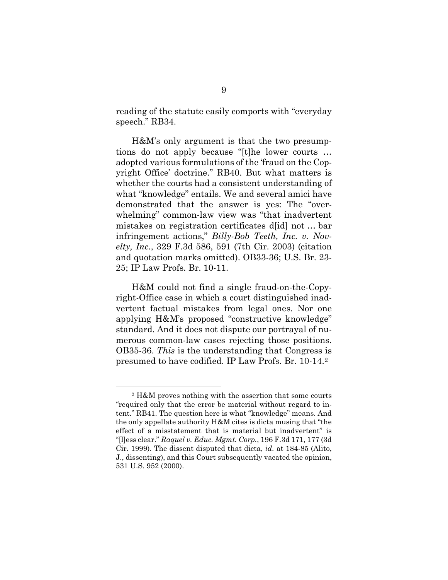reading of the statute easily comports with "everyday speech." RB34.

H&M's only argument is that the two presumptions do not apply because "[t]he lower courts … adopted various formulations of the 'fraud on the Copyright Office' doctrine." RB40. But what matters is whether the courts had a consistent understanding of what "knowledge" entails. We and several amici have demonstrated that the answer is yes: The "overwhelming" common-law view was "that inadvertent mistakes on registration certificates d[id] not … bar infringement actions," *Billy-Bob Teeth, Inc. v. Novelty, Inc.*, 329 F.3d 586, 591 (7th Cir. 2003) (citation and quotation marks omitted). OB33-36; U.S. Br. 23- 25; IP Law Profs. Br. 10-11.

H&M could not find a single fraud-on-the-Copyright-Office case in which a court distinguished inadvertent factual mistakes from legal ones. Nor one applying H&M's proposed "constructive knowledge" standard. And it does not dispute our portrayal of numerous common-law cases rejecting those positions. OB35-36. *This* is the understanding that Congress is presumed to have codified. IP Law Profs. Br. 10-14.[2](#page-15-0)

<span id="page-15-0"></span><sup>2</sup> H&M proves nothing with the assertion that some courts "required only that the error be material without regard to intent." RB41. The question here is what "knowledge" means. And the only appellate authority H&M cites is dicta musing that "the effect of a misstatement that is material but inadvertent" is "[l]ess clear." *Raquel v. Educ. Mgmt. Corp.*, 196 F.3d 171, 177 (3d Cir. 1999). The dissent disputed that dicta, *id.* at 184-85 (Alito, J., dissenting), and this Court subsequently vacated the opinion, 531 U.S. 952 (2000).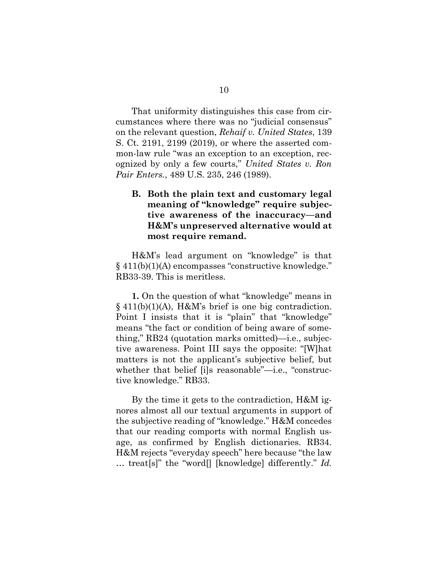That uniformity distinguishes this case from circumstances where there was no "judicial consensus" on the relevant question, *Rehaif v. United States*, 139 S. Ct. 2191, 2199 (2019), or where the asserted common-law rule "was an exception to an exception, recognized by only a few courts," *United States v. Ron Pair Enters.*, 489 U.S. 235, 246 (1989).

### <span id="page-16-0"></span>**B. Both the plain text and customary legal meaning of "knowledge" require subjective awareness of the inaccuracy—and H&M's unpreserved alternative would at most require remand.**

H&M's lead argument on "knowledge" is that § 411(b)(1)(A) encompasses "constructive knowledge." RB33-39. This is meritless.

**1.** On the question of what "knowledge" means in § 411(b)(1)(A), H&M's brief is one big contradiction. Point I insists that it is "plain" that "knowledge" means "the fact or condition of being aware of something," RB24 (quotation marks omitted)—i.e., subjective awareness. Point III says the opposite: "[W]hat matters is not the applicant's subjective belief, but whether that belief [i]s reasonable"—i.e., "constructive knowledge." RB33.

By the time it gets to the contradiction, H&M ignores almost all our textual arguments in support of the subjective reading of "knowledge." H&M concedes that our reading comports with normal English usage, as confirmed by English dictionaries. RB34. H&M rejects "everyday speech" here because "the law … treat[s]" the "word[] [knowledge] differently." *Id.*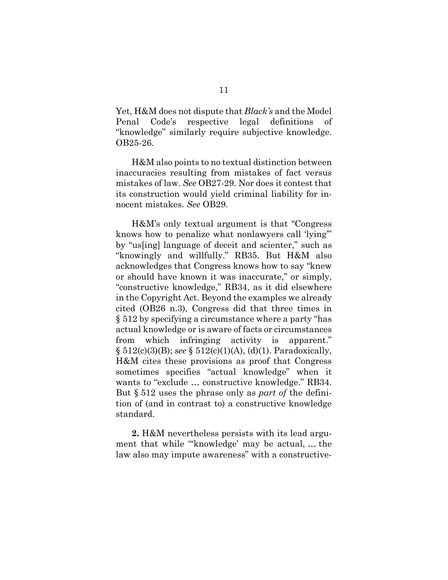Yet, H&M does not dispute that *Black's* and the Model Penal Code's respective legal definitions of "knowledge" similarly require subjective knowledge. OB25-26.

H&M also points to no textual distinction between inaccuracies resulting from mistakes of fact versus mistakes of law. *See* OB27-29. Nor does it contest that its construction would yield criminal liability for innocent mistakes. *See* OB29.

H&M's only textual argument is that "Congress knows how to penalize what nonlawyers call 'lying'" by "us[ing] language of deceit and scienter," such as "knowingly and willfully." RB35. But H&M also acknowledges that Congress knows how to say "knew or should have known it was inaccurate," or simply, "constructive knowledge," RB34, as it did elsewhere in the Copyright Act. Beyond the examples we already cited (OB26 n.3), Congress did that three times in § 512 by specifying a circumstance where a party "has actual knowledge or is aware of facts or circumstances from which infringing activity is apparent." § 512(c)(3)(B); *see* § 512(c)(1)(A), (d)(1). Paradoxically, H&M cites these provisions as proof that Congress sometimes specifies "actual knowledge" when it wants to "exclude … constructive knowledge." RB34. But § 512 uses the phrase only as *part of* the definition of (and in contrast to) a constructive knowledge standard.

**2.** H&M nevertheless persists with its lead argument that while "'knowledge' may be actual, … the law also may impute awareness" with a constructive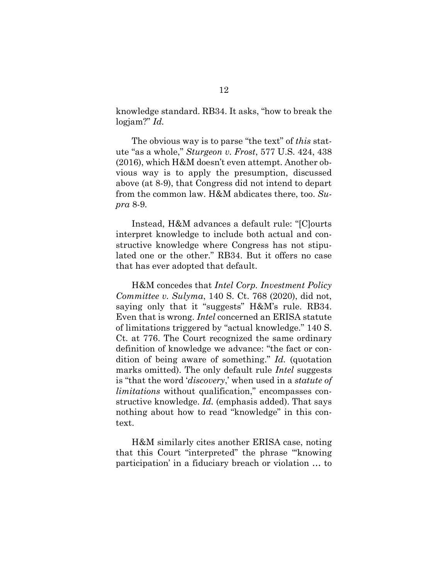knowledge standard. RB34. It asks, "how to break the logjam?" *Id.*

The obvious way is to parse "the text" of *this* statute "as a whole," *Sturgeon v. Frost*, 577 U.S. 424, 438 (2016), which H&M doesn't even attempt. Another obvious way is to apply the presumption, discussed above (at 8-9), that Congress did not intend to depart from the common law. H&M abdicates there, too. *Supra* 8-9*.*

Instead, H&M advances a default rule: "[C]ourts interpret knowledge to include both actual and constructive knowledge where Congress has not stipulated one or the other." RB34. But it offers no case that has ever adopted that default.

H&M concedes that *Intel Corp. Investment Policy Committee v. Sulyma*, 140 S. Ct. 768 (2020), did not, saying only that it "suggests" H&M's rule. RB34. Even that is wrong. *Intel* concerned an ERISA statute of limitations triggered by "actual knowledge." 140 S. Ct. at 776. The Court recognized the same ordinary definition of knowledge we advance: "the fact or condition of being aware of something." *Id.* (quotation marks omitted). The only default rule *Intel* suggests is "that the word '*discovery*,' when used in a *statute of limitations* without qualification," encompasses constructive knowledge. *Id.* (emphasis added). That says nothing about how to read "knowledge" in this context.

H&M similarly cites another ERISA case, noting that this Court "interpreted" the phrase "'knowing participation' in a fiduciary breach or violation … to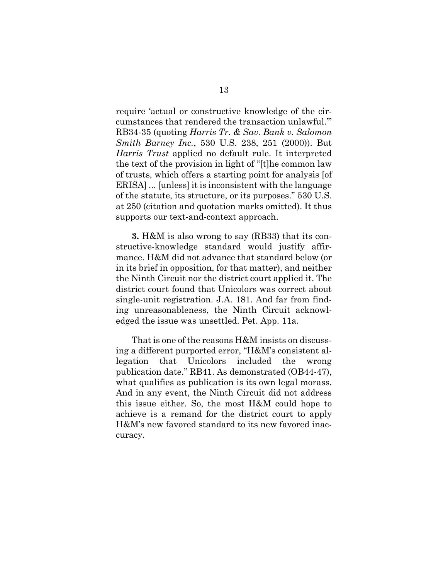require 'actual or constructive knowledge of the circumstances that rendered the transaction unlawful.'" RB34-35 (quoting *Harris Tr. & Sav. Bank v. Salomon Smith Barney Inc.*, 530 U.S. 238, 251 (2000)). But *Harris Trust* applied no default rule. It interpreted the text of the provision in light of "[t]he common law of trusts, which offers a starting point for analysis [of ERISA] ... [unless] it is inconsistent with the language of the statute, its structure, or its purposes." 530 U.S. at 250 (citation and quotation marks omitted). It thus supports our text-and-context approach.

**3.** H&M is also wrong to say (RB33) that its constructive-knowledge standard would justify affirmance. H&M did not advance that standard below (or in its brief in opposition, for that matter), and neither the Ninth Circuit nor the district court applied it. The district court found that Unicolors was correct about single-unit registration. J.A. 181. And far from finding unreasonableness, the Ninth Circuit acknowledged the issue was unsettled. Pet. App. 11a.

That is one of the reasons H&M insists on discussing a different purported error, "H&M's consistent allegation that Unicolors included the wrong publication date." RB41. As demonstrated (OB44-47), what qualifies as publication is its own legal morass. And in any event, the Ninth Circuit did not address this issue either. So, the most H&M could hope to achieve is a remand for the district court to apply H&M's new favored standard to its new favored inaccuracy.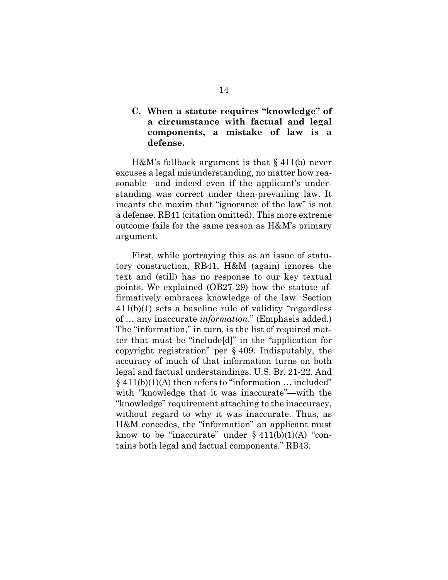### <span id="page-20-0"></span>**C. When a statute requires "knowledge" of a circumstance with factual and legal components, a mistake of law is a defense.**

H&M's fallback argument is that § 411(b) never excuses a legal misunderstanding, no matter how reasonable—and indeed even if the applicant's understanding was correct under then-prevailing law. It incants the maxim that "ignorance of the law" is not a defense. RB41 (citation omitted). This more extreme outcome fails for the same reason as H&M's primary argument.

First, while portraying this as an issue of statutory construction, RB41, H&M (again) ignores the text and (still) has no response to our key textual points. We explained (OB27-29) how the statute affirmatively embraces knowledge of the law. Section 411(b)(1) sets a baseline rule of validity "regardless of … any inaccurate *information*." (Emphasis added.) The "information," in turn, is the list of required matter that must be "include[d]" in the "application for copyright registration" per § 409. Indisputably, the accuracy of much of that information turns on both legal and factual understandings. U.S. Br. 21-22. And  $§$  411(b)(1)(A) then refers to "information ... included" with "knowledge that it was inaccurate"—with the "knowledge" requirement attaching to the inaccuracy, without regard to why it was inaccurate. Thus, as H&M concedes, the "information" an applicant must know to be "inaccurate" under  $\S 411(b)(1)(A)$  "contains both legal and factual components." RB43.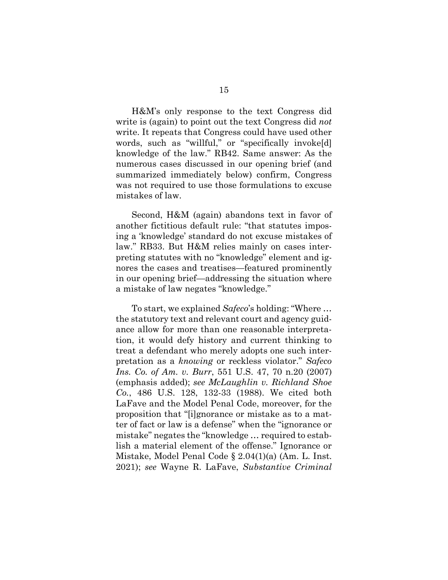H&M's only response to the text Congress did write is (again) to point out the text Congress did *not* write. It repeats that Congress could have used other words, such as "willful," or "specifically invoke[d] knowledge of the law." RB42. Same answer: As the numerous cases discussed in our opening brief (and summarized immediately below) confirm, Congress was not required to use those formulations to excuse mistakes of law.

Second, H&M (again) abandons text in favor of another fictitious default rule: "that statutes imposing a 'knowledge' standard do not excuse mistakes of law." RB33. But H&M relies mainly on cases interpreting statutes with no "knowledge" element and ignores the cases and treatises—featured prominently in our opening brief—addressing the situation where a mistake of law negates "knowledge."

To start, we explained *Safeco*'s holding: "Where … the statutory text and relevant court and agency guidance allow for more than one reasonable interpretation, it would defy history and current thinking to treat a defendant who merely adopts one such interpretation as a *knowing* or reckless violator." *Safeco Ins. Co. of Am. v. Burr*, 551 U.S. 47, 70 n.20 (2007) (emphasis added); *see McLaughlin v. Richland Shoe Co.*, 486 U.S. 128, 132-33 (1988). We cited both LaFave and the Model Penal Code, moreover, for the proposition that "[i]gnorance or mistake as to a matter of fact or law is a defense" when the "ignorance or mistake" negates the "knowledge … required to establish a material element of the offense." Ignorance or Mistake, Model Penal Code § 2.04(1)(a) (Am. L. Inst. 2021); *see* Wayne R. LaFave, *Substantive Criminal*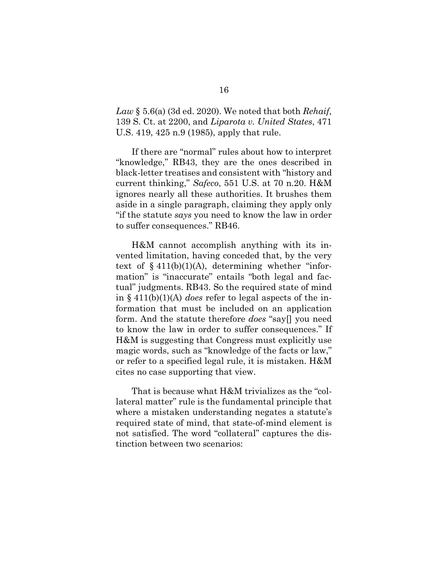*Law* § 5.6(a) (3d ed. 2020). We noted that both *Rehaif*, 139 S. Ct. at 2200, and *Liparota v. United States*, 471 U.S. 419, 425 n.9 (1985), apply that rule.

If there are "normal" rules about how to interpret "knowledge," RB43, they are the ones described in black-letter treatises and consistent with "history and current thinking," *Safeco*, 551 U.S. at 70 n.20. H&M ignores nearly all these authorities. It brushes them aside in a single paragraph, claiming they apply only "if the statute *says* you need to know the law in order to suffer consequences." RB46.

H&M cannot accomplish anything with its invented limitation, having conceded that, by the very text of  $§$  411(b)(1)(A), determining whether "information" is "inaccurate" entails "both legal and factual" judgments. RB43. So the required state of mind in § 411(b)(1)(A) *does* refer to legal aspects of the information that must be included on an application form. And the statute therefore *does* "say[] you need to know the law in order to suffer consequences." If H&M is suggesting that Congress must explicitly use magic words, such as "knowledge of the facts or law," or refer to a specified legal rule, it is mistaken. H&M cites no case supporting that view.

That is because what H&M trivializes as the "collateral matter" rule is the fundamental principle that where a mistaken understanding negates a statute's required state of mind, that state-of-mind element is not satisfied. The word "collateral" captures the distinction between two scenarios: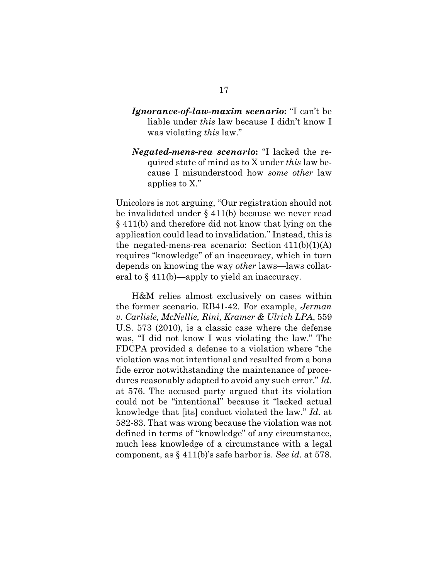### *Ignorance-of-law-maxim scenario***:** "I can't be liable under *this* law because I didn't know I was violating *this* law."

*Negated-mens-rea scenario***:** "I lacked the required state of mind as to X under *this* law because I misunderstood how *some other* law applies to X."

Unicolors is not arguing, "Our registration should not be invalidated under § 411(b) because we never read § 411(b) and therefore did not know that lying on the application could lead to invalidation." Instead, this is the negated-mens-rea scenario: Section  $411(b)(1)(A)$ requires "knowledge" of an inaccuracy, which in turn depends on knowing the way *other* laws—laws collateral to § 411(b)—apply to yield an inaccuracy.

H&M relies almost exclusively on cases within the former scenario. RB41-42. For example, *Jerman v. Carlisle, McNellie, Rini, Kramer & Ulrich LPA*, 559 U.S. 573 (2010), is a classic case where the defense was, "I did not know I was violating the law." The FDCPA provided a defense to a violation where "the violation was not intentional and resulted from a bona fide error notwithstanding the maintenance of procedures reasonably adapted to avoid any such error." *Id.* at 576. The accused party argued that its violation could not be "intentional" because it "lacked actual knowledge that [its] conduct violated the law." *Id.* at 582-83. That was wrong because the violation was not defined in terms of "knowledge" of any circumstance, much less knowledge of a circumstance with a legal component, as § 411(b)'s safe harbor is. *See id.* at 578.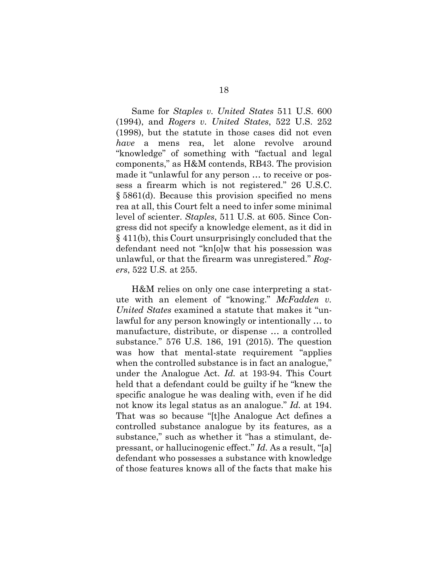Same for *Staples v. United States* 511 U.S. 600 (1994), and *Rogers v. United States*, 522 U.S. 252 (1998), but the statute in those cases did not even *have* a mens rea, let alone revolve around "knowledge" of something with "factual and legal components," as H&M contends, RB43. The provision made it "unlawful for any person … to receive or possess a firearm which is not registered." 26 U.S.C. § 5861(d). Because this provision specified no mens rea at all, this Court felt a need to infer some minimal level of scienter. *Staples*, 511 U.S. at 605. Since Congress did not specify a knowledge element, as it did in § 411(b), this Court unsurprisingly concluded that the defendant need not "kn[o]w that his possession was unlawful, or that the firearm was unregistered." *Rogers*, 522 U.S. at 255.

H&M relies on only one case interpreting a statute with an element of "knowing." *McFadden v. United States* examined a statute that makes it "unlawful for any person knowingly or intentionally … to manufacture, distribute, or dispense … a controlled substance." 576 U.S. 186, 191 (2015). The question was how that mental-state requirement "applies when the controlled substance is in fact an analogue," under the Analogue Act. *Id.* at 193-94. This Court held that a defendant could be guilty if he "knew the specific analogue he was dealing with, even if he did not know its legal status as an analogue." *Id.* at 194. That was so because "[t]he Analogue Act defines a controlled substance analogue by its features, as a substance," such as whether it "has a stimulant, depressant, or hallucinogenic effect." *Id.* As a result, "[a] defendant who possesses a substance with knowledge of those features knows all of the facts that make his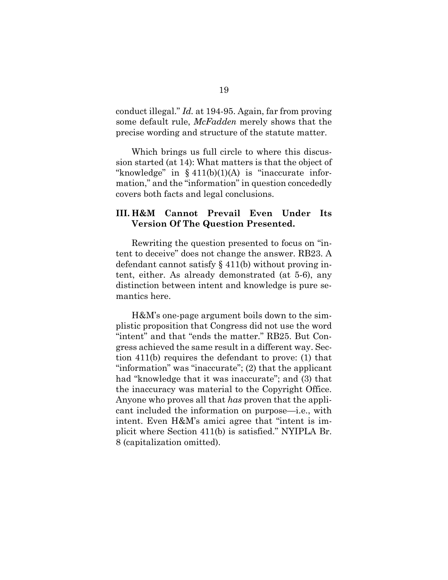conduct illegal." *Id.* at 194-95. Again, far from proving some default rule, *McFadden* merely shows that the precise wording and structure of the statute matter.

Which brings us full circle to where this discussion started (at 14): What matters is that the object of "knowledge" in  $§$  411(b)(1)(A) is "inaccurate information," and the "information" in question concededly covers both facts and legal conclusions.

#### <span id="page-25-0"></span>**III. H&M Cannot Prevail Even Under Its Version Of The Question Presented.**

Rewriting the question presented to focus on "intent to deceive" does not change the answer. RB23. A defendant cannot satisfy § 411(b) without proving intent, either. As already demonstrated (at 5-6), any distinction between intent and knowledge is pure semantics here.

H&M's one-page argument boils down to the simplistic proposition that Congress did not use the word "intent" and that "ends the matter." RB25. But Congress achieved the same result in a different way. Section 411(b) requires the defendant to prove: (1) that "information" was "inaccurate"; (2) that the applicant had "knowledge that it was inaccurate"; and (3) that the inaccuracy was material to the Copyright Office. Anyone who proves all that *has* proven that the applicant included the information on purpose—i.e., with intent. Even H&M's amici agree that "intent is implicit where Section 411(b) is satisfied." NYIPLA Br. 8 (capitalization omitted).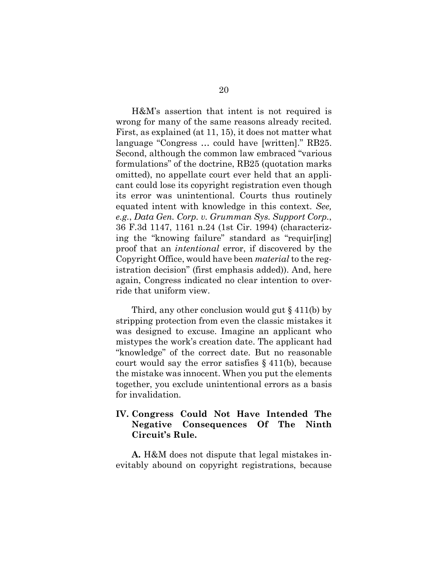H&M's assertion that intent is not required is wrong for many of the same reasons already recited. First, as explained (at 11, 15), it does not matter what language "Congress … could have [written]." RB25. Second, although the common law embraced "various formulations" of the doctrine, RB25 (quotation marks omitted), no appellate court ever held that an applicant could lose its copyright registration even though its error was unintentional. Courts thus routinely equated intent with knowledge in this context. *See, e.g.*, *Data Gen. Corp. v. Grumman Sys. Support Corp.*, 36 F.3d 1147, 1161 n.24 (1st Cir. 1994) (characterizing the "knowing failure" standard as "requir[ing] proof that an *intentional* error, if discovered by the Copyright Office, would have been *material* to the registration decision" (first emphasis added)). And, here again, Congress indicated no clear intention to override that uniform view.

Third, any other conclusion would gut  $\S$  411(b) by stripping protection from even the classic mistakes it was designed to excuse. Imagine an applicant who mistypes the work's creation date. The applicant had "knowledge" of the correct date. But no reasonable court would say the error satisfies § 411(b), because the mistake was innocent. When you put the elements together, you exclude unintentional errors as a basis for invalidation.

### <span id="page-26-0"></span>**IV. Congress Could Not Have Intended The Negative Consequences Of The Ninth Circuit's Rule.**

**A.** H&M does not dispute that legal mistakes inevitably abound on copyright registrations, because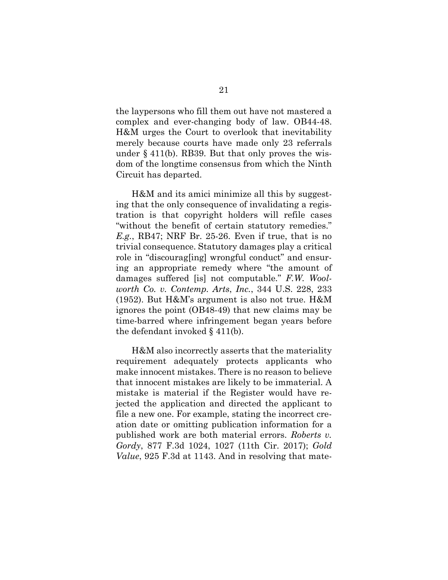the laypersons who fill them out have not mastered a complex and ever-changing body of law. OB44-48. H&M urges the Court to overlook that inevitability merely because courts have made only 23 referrals under § 411(b). RB39. But that only proves the wisdom of the longtime consensus from which the Ninth Circuit has departed.

H&M and its amici minimize all this by suggesting that the only consequence of invalidating a registration is that copyright holders will refile cases "without the benefit of certain statutory remedies." *E.g.*, RB47; NRF Br. 25-26. Even if true, that is no trivial consequence. Statutory damages play a critical role in "discourag[ing] wrongful conduct" and ensuring an appropriate remedy where "the amount of damages suffered [is] not computable." *F.W. Woolworth Co. v. Contemp. Arts*, *Inc.*, 344 U.S. 228, 233 (1952). But H&M's argument is also not true. H&M ignores the point (OB48-49) that new claims may be time-barred where infringement began years before the defendant invoked § 411(b).

H&M also incorrectly asserts that the materiality requirement adequately protects applicants who make innocent mistakes. There is no reason to believe that innocent mistakes are likely to be immaterial. A mistake is material if the Register would have rejected the application and directed the applicant to file a new one. For example, stating the incorrect creation date or omitting publication information for a published work are both material errors. *Roberts v. Gordy*, 877 F.3d 1024, 1027 (11th Cir. 2017); *Gold Value*, 925 F.3d at 1143. And in resolving that mate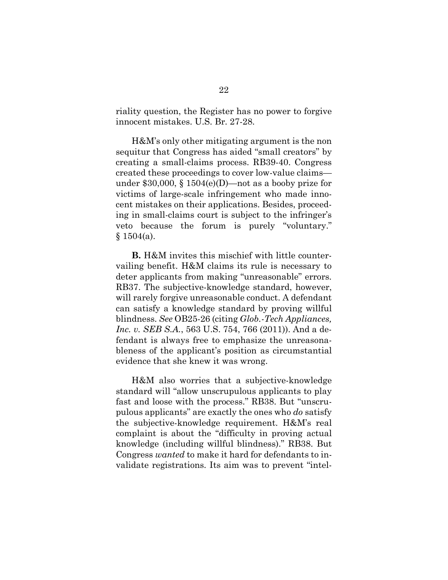riality question, the Register has no power to forgive innocent mistakes. U.S. Br. 27-28.

H&M's only other mitigating argument is the non sequitur that Congress has aided "small creators" by creating a small-claims process. RB39-40. Congress created these proceedings to cover low-value claims under \$30,000,  $\S 1504(e)$ (D)—not as a booby prize for victims of large-scale infringement who made innocent mistakes on their applications. Besides, proceeding in small-claims court is subject to the infringer's veto because the forum is purely "voluntary."  $§ 1504(a).$ 

**B.** H&M invites this mischief with little countervailing benefit. H&M claims its rule is necessary to deter applicants from making "unreasonable" errors. RB37. The subjective-knowledge standard, however, will rarely forgive unreasonable conduct. A defendant can satisfy a knowledge standard by proving willful blindness. *See* OB25-26 (citing *Glob.-Tech Appliances, Inc. v. SEB S.A.*, 563 U.S. 754, 766 (2011)). And a defendant is always free to emphasize the unreasonableness of the applicant's position as circumstantial evidence that she knew it was wrong.

H&M also worries that a subjective-knowledge standard will "allow unscrupulous applicants to play fast and loose with the process." RB38. But "unscrupulous applicants" are exactly the ones who *do* satisfy the subjective-knowledge requirement. H&M's real complaint is about the "difficulty in proving actual knowledge (including willful blindness)." RB38. But Congress *wanted* to make it hard for defendants to invalidate registrations. Its aim was to prevent "intel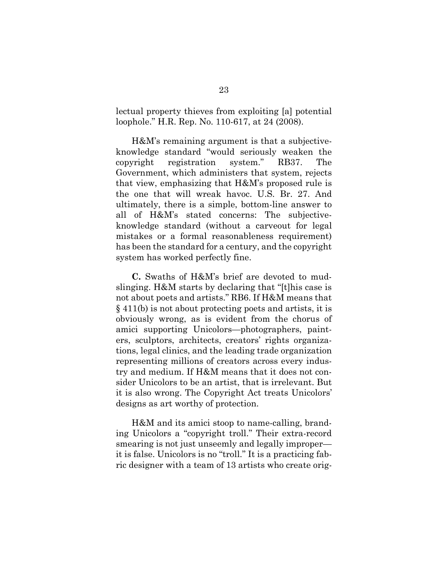lectual property thieves from exploiting [a] potential loophole." H.R. Rep. No. 110-617, at 24 (2008).

H&M's remaining argument is that a subjectiveknowledge standard "would seriously weaken the copyright registration system." RB37. The Government, which administers that system, rejects that view, emphasizing that H&M's proposed rule is the one that will wreak havoc. U.S. Br. 27. And ultimately, there is a simple, bottom-line answer to all of H&M's stated concerns: The subjectiveknowledge standard (without a carveout for legal mistakes or a formal reasonableness requirement) has been the standard for a century, and the copyright system has worked perfectly fine.

**C.** Swaths of H&M's brief are devoted to mudslinging. H&M starts by declaring that "[t]his case is not about poets and artists." RB6. If H&M means that § 411(b) is not about protecting poets and artists, it is obviously wrong, as is evident from the chorus of amici supporting Unicolors—photographers, painters, sculptors, architects, creators' rights organizations, legal clinics, and the leading trade organization representing millions of creators across every industry and medium. If H&M means that it does not consider Unicolors to be an artist, that is irrelevant. But it is also wrong. The Copyright Act treats Unicolors' designs as art worthy of protection.

H&M and its amici stoop to name-calling, branding Unicolors a "copyright troll." Their extra-record smearing is not just unseemly and legally improper it is false. Unicolors is no "troll." It is a practicing fabric designer with a team of 13 artists who create orig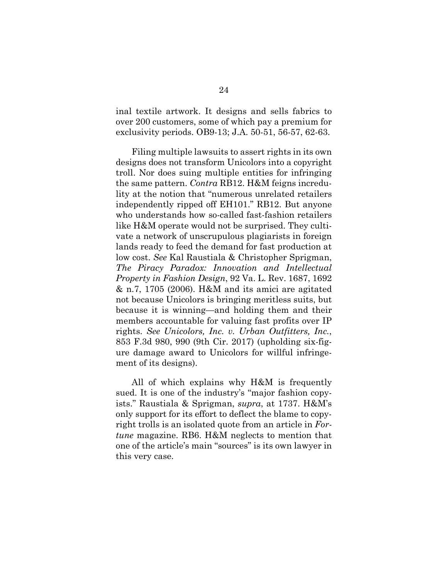inal textile artwork. It designs and sells fabrics to over 200 customers, some of which pay a premium for exclusivity periods. OB9-13; J.A. 50-51, 56-57, 62-63.

Filing multiple lawsuits to assert rights in its own designs does not transform Unicolors into a copyright troll. Nor does suing multiple entities for infringing the same pattern. *Contra* RB12. H&M feigns incredulity at the notion that "numerous unrelated retailers independently ripped off EH101." RB12. But anyone who understands how so-called fast-fashion retailers like H&M operate would not be surprised. They cultivate a network of unscrupulous plagiarists in foreign lands ready to feed the demand for fast production at low cost. *See* Kal Raustiala & Christopher Sprigman, *The Piracy Paradox: Innovation and Intellectual Property in Fashion Design*, 92 Va. L. Rev. 1687, 1692 & n.7, 1705 (2006). H&M and its amici are agitated not because Unicolors is bringing meritless suits, but because it is winning—and holding them and their members accountable for valuing fast profits over IP rights. *See Unicolors, Inc. v. Urban Outfitters, Inc.*, 853 F.3d 980, 990 (9th Cir. 2017) (upholding six-figure damage award to Unicolors for willful infringement of its designs).

All of which explains why H&M is frequently sued. It is one of the industry's "major fashion copyists." Raustiala & Sprigman, *supra*, at 1737. H&M's only support for its effort to deflect the blame to copyright trolls is an isolated quote from an article in *Fortune* magazine. RB6. H&M neglects to mention that one of the article's main "sources" is its own lawyer in this very case.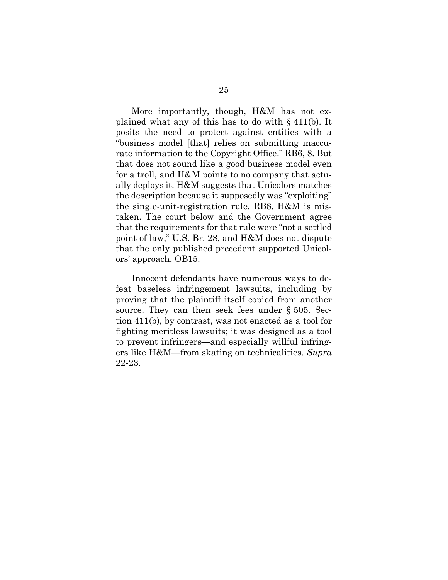More importantly, though, H&M has not explained what any of this has to do with § 411(b). It posits the need to protect against entities with a "business model [that] relies on submitting inaccurate information to the Copyright Office." RB6, 8. But that does not sound like a good business model even for a troll, and H&M points to no company that actually deploys it. H&M suggests that Unicolors matches the description because it supposedly was "exploiting" the single-unit-registration rule. RB8. H&M is mistaken. The court below and the Government agree that the requirements for that rule were "not a settled point of law," U.S. Br. 28, and H&M does not dispute that the only published precedent supported Unicolors' approach, OB15.

Innocent defendants have numerous ways to defeat baseless infringement lawsuits, including by proving that the plaintiff itself copied from another source. They can then seek fees under § 505. Section 411(b), by contrast, was not enacted as a tool for fighting meritless lawsuits; it was designed as a tool to prevent infringers—and especially willful infringers like H&M—from skating on technicalities. *Supra* 22-23.